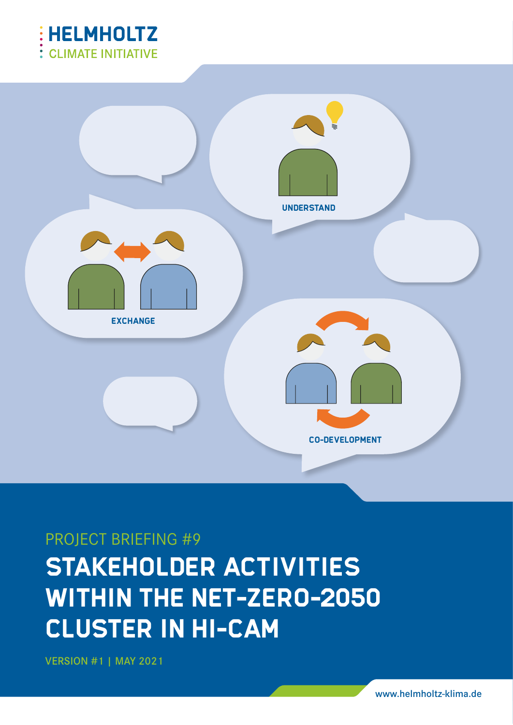



# PROJECT BRIEFING #9

# **STAKEHOLDER ACTIVITIES WITHIN THE NET-ZERO-2050 CLUSTER IN HI-CAM**

VERSION #1 | MAY 2021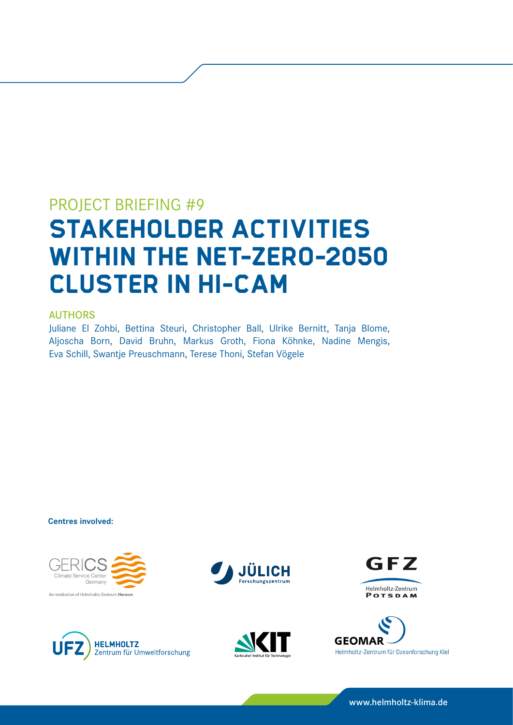# PROJECT BRIEFING #9 **STAKEHOLDER ACTIVITIES WITHIN THE NET-ZERO-2050 CLUSTER IN HI-CAM**

## AUTHORS

Juliane El Zohbi, Bettina Steuri, Christopher Ball, Ulrike Bernitt, Tanja Blome, Aljoscha Born, David Bruhn, Markus Groth, Fiona Köhnke, Nadine Mengis, Eva Schill, Swantje Preuschmann, Terese Thoni, Stefan Vögele

**Centres involved:**













www.helmholtz-klima.de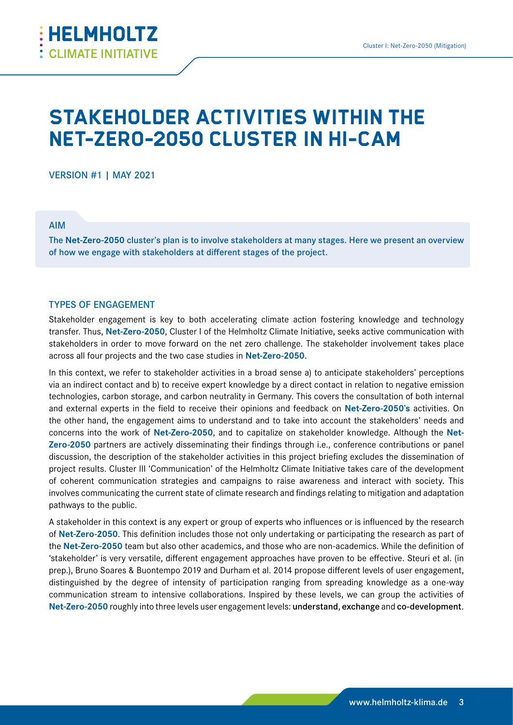

# **STAKEHOLDER ACTIVITIES WITHIN THE NET-ZERO-2050 CLUSTER IN HI-CAM**

VERSION #1 | MAY 2021

AIM

The **Net-Zero-2050** cluster's plan is to involve stakeholders at many stages. Here we present an overview of how we engage with stakeholders at different stages of the project.

#### TYPES OF ENGAGEMENT

Stakeholder engagement is key to both accelerating climate action fostering knowledge and technology transfer. Thus, **Net-Zero-2050**, Cluster I of the Helmholtz Climate Initiative, seeks active communication with stakeholders in order to move forward on the net zero challenge. The stakeholder involvement takes place across all four projects and the two case studies in **Net-Zero-2050**.

In this context, we refer to stakeholder activities in a broad sense a) to anticipate stakeholders' perceptions via an indirect contact and b) to receive expert knowledge by a direct contact in relation to negative emission technologies, carbon storage, and carbon neutrality in Germany. This covers the consultation of both internal and external experts in the field to receive their opinions and feedback on **Net-Zero-2050's** activities. On the other hand, the engagement aims to understand and to take into account the stakeholders' needs and concerns into the work of **Net-Zero-2050**, and to capitalize on stakeholder knowledge. Although the **Net-Zero-2050** partners are actively disseminating their findings through i.e., conference contributions or panel discussion, the description of the stakeholder activities in this project briefing excludes the dissemination of project results. Cluster III 'Communication' of the Helmholtz Climate Initiative takes care of the development of coherent communication strategies and campaigns to raise awareness and interact with society. This involves communicating the current state of climate research and findings relating to mitigation and adaptation pathways to the public.

A stakeholder in this context is any expert or group of experts who influences or is influenced by the research of **Net-Zero-2050**. This definition includes those not only undertaking or participating the research as part of the **Net-Zero-2050** team but also other academics, and those who are non-academics. While the definition of 'stakeholder' is very versatile, different engagement approaches have proven to be effective. Steuri et al. (in prep.), Bruno Soares & Buontempo 2019 and Durham et al. 2014 propose different levels of user engagement, distinguished by the degree of intensity of participation ranging from spreading knowledge as a one-way communication stream to intensive collaborations. Inspired by these levels, we can group the activities of **Net-Zero-2050** roughly into three levels user engagement levels: understand, exchange and co-development.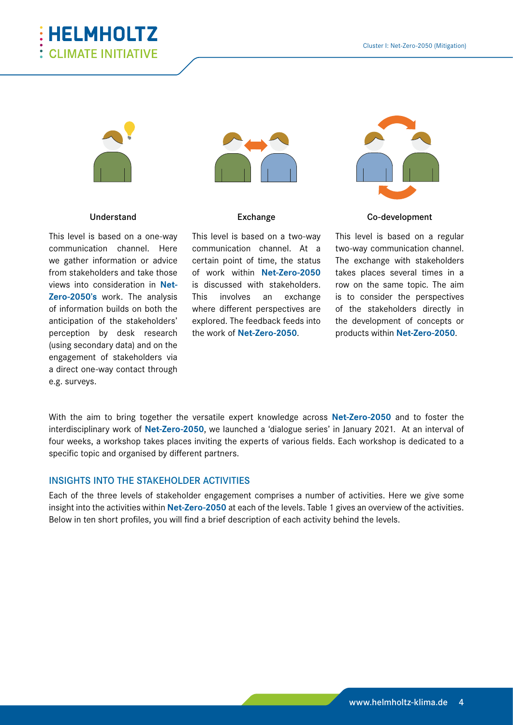



#### Understand

This level is based on a one-way communication channel. Here we gather information or advice from stakeholders and take those views into consideration in **Net-Zero-2050's** work. The analysis of information builds on both the anticipation of the stakeholders' perception by desk research (using secondary data) and on the engagement of stakeholders via a direct one-way contact through e.g. surveys.



#### Exchange

This level is based on a two-way communication channel. At a certain point of time, the status of work within **Net-Zero-2050** is discussed with stakeholders. This involves an exchange where different perspectives are explored. The feedback feeds into the work of **Net-Zero-2050**.



Co-development

This level is based on a regular two-way communication channel. The exchange with stakeholders takes places several times in a row on the same topic. The aim is to consider the perspectives of the stakeholders directly in the development of concepts or products within **Net-Zero-2050**.

With the aim to bring together the versatile expert knowledge across **Net-Zero-2050** and to foster the interdisciplinary work of **Net-Zero-2050**, we launched a 'dialogue series' in January 2021. At an interval of four weeks, a workshop takes places inviting the experts of various fields. Each workshop is dedicated to a specific topic and organised by different partners.

#### INSIGHTS INTO THE STAKEHOLDER ACTIVITIES

Each of the three levels of stakeholder engagement comprises a number of activities. Here we give some insight into the activities within **Net-Zero-2050** at each of the levels. Table 1 gives an overview of the activities. Below in ten short profiles, you will find a brief description of each activity behind the levels.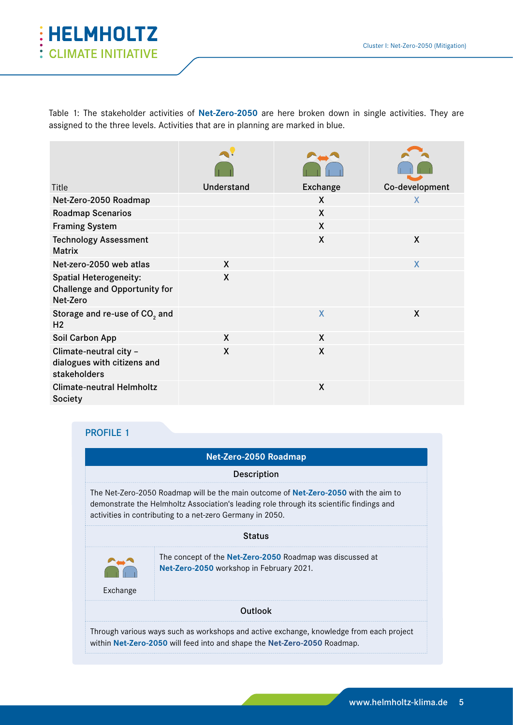

Table 1: The stakeholder activities of **Net-Zero-2050** are here broken down in single activities. They are assigned to the three levels. Activities that are in planning are marked in blue.

| Title                                                                             | Understand   | <b>Exchange</b> | Co-development          |
|-----------------------------------------------------------------------------------|--------------|-----------------|-------------------------|
| Net-Zero-2050 Roadmap                                                             |              | X               | X                       |
| <b>Roadmap Scenarios</b>                                                          |              | X               |                         |
| <b>Framing System</b>                                                             |              | $\mathsf{X}$    |                         |
| <b>Technology Assessment</b><br><b>Matrix</b>                                     |              | X               | X                       |
| Net-zero-2050 web atlas                                                           | X            |                 | $\overline{\mathsf{X}}$ |
| <b>Spatial Heterogeneity:</b><br><b>Challenge and Opportunity for</b><br>Net-Zero | X            |                 |                         |
| Storage and re-use of CO <sub>2</sub> and<br>H <sub>2</sub>                       |              | X               | X                       |
| Soil Carbon App                                                                   | $\mathsf{X}$ | $\mathsf{X}$    |                         |
| Climate-neutral city -<br>dialogues with citizens and<br>stakeholders             | X            | χ               |                         |
| <b>Climate-neutral Helmholtz</b><br><b>Society</b>                                |              | X               |                         |

|          | Net-Zero-2050 Roadmap                                                                                                                                                                                                                               |
|----------|-----------------------------------------------------------------------------------------------------------------------------------------------------------------------------------------------------------------------------------------------------|
|          | Description                                                                                                                                                                                                                                         |
|          | The Net-Zero-2050 Roadmap will be the main outcome of <b>Net-Zero-2050</b> with the aim to<br>demonstrate the Helmholtz Association's leading role through its scientific findings and<br>activities in contributing to a net-zero Germany in 2050. |
|          | <b>Status</b>                                                                                                                                                                                                                                       |
|          | The concept of the <b>Net-Zero-2050</b> Roadmap was discussed at<br>Net-Zero-2050 workshop in February 2021.                                                                                                                                        |
| Exchange |                                                                                                                                                                                                                                                     |
|          | Outlook                                                                                                                                                                                                                                             |
|          | Through various ways such as workshops and active exchange, knowledge from each project<br>within Net-Zero-2050 will feed into and shape the Net-Zero-2050 Roadmap.                                                                                 |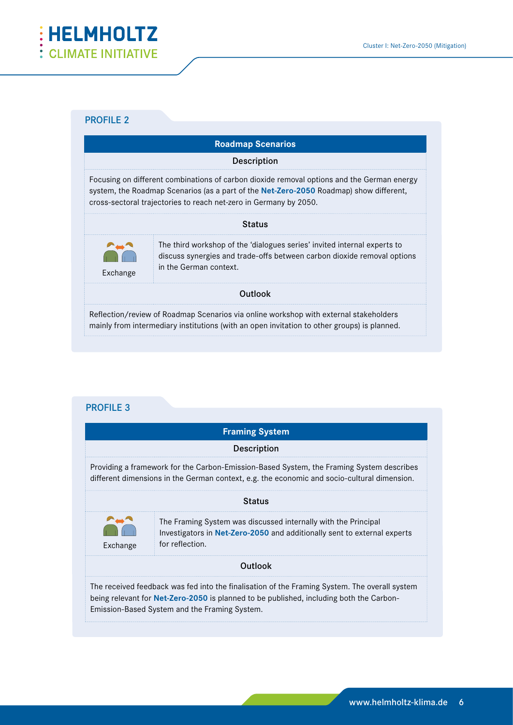

|          | <b>Roadmap Scenarios</b>                                                                                                                                                                                                                                  |
|----------|-----------------------------------------------------------------------------------------------------------------------------------------------------------------------------------------------------------------------------------------------------------|
|          | Description                                                                                                                                                                                                                                               |
|          | Focusing on different combinations of carbon dioxide removal options and the German energy<br>system, the Roadmap Scenarios (as a part of the Net-Zero-2050 Roadmap) show different,<br>cross-sectoral trajectories to reach net-zero in Germany by 2050. |
|          | <b>Status</b>                                                                                                                                                                                                                                             |
| Exchange | The third workshop of the 'dialogues series' invited internal experts to<br>discuss synergies and trade-offs between carbon dioxide removal options<br>in the German context.                                                                             |
|          | <b>Outlook</b>                                                                                                                                                                                                                                            |
|          | Reflection/review of Roadmap Scenarios via online workshop with external stakeholders<br>mainly from intermediary institutions (with an open invitation to other groups) is planned.                                                                      |

|                                                                                                                                                                                                                                                                                                                                                                 | <b>Framing System</b>                                                                                                                                                                                                                     |  |
|-----------------------------------------------------------------------------------------------------------------------------------------------------------------------------------------------------------------------------------------------------------------------------------------------------------------------------------------------------------------|-------------------------------------------------------------------------------------------------------------------------------------------------------------------------------------------------------------------------------------------|--|
|                                                                                                                                                                                                                                                                                                                                                                 | Description                                                                                                                                                                                                                               |  |
|                                                                                                                                                                                                                                                                                                                                                                 | Providing a framework for the Carbon-Emission-Based System, the Framing System describes<br>different dimensions in the German context, e.g. the economic and socio-cultural dimension.                                                   |  |
| <b>Status</b>                                                                                                                                                                                                                                                                                                                                                   |                                                                                                                                                                                                                                           |  |
| $\begin{picture}(180,10) \put(0,0){\line(1,0){10}} \put(10,0){\line(1,0){10}} \put(10,0){\line(1,0){10}} \put(10,0){\line(1,0){10}} \put(10,0){\line(1,0){10}} \put(10,0){\line(1,0){10}} \put(10,0){\line(1,0){10}} \put(10,0){\line(1,0){10}} \put(10,0){\line(1,0){10}} \put(10,0){\line(1,0){10}} \put(10,0){\line(1,0){10}} \put(10,0){\line($<br>Exchange | The Framing System was discussed internally with the Principal<br>Investigators in Net-Zero-2050 and additionally sent to external experts<br>for reflection.                                                                             |  |
|                                                                                                                                                                                                                                                                                                                                                                 | <b>Outlook</b>                                                                                                                                                                                                                            |  |
|                                                                                                                                                                                                                                                                                                                                                                 | The received feedback was fed into the finalisation of the Framing System. The overall system<br>being relevant for Net-Zero-2050 is planned to be published, including both the Carbon-<br>Emission-Based System and the Framing System. |  |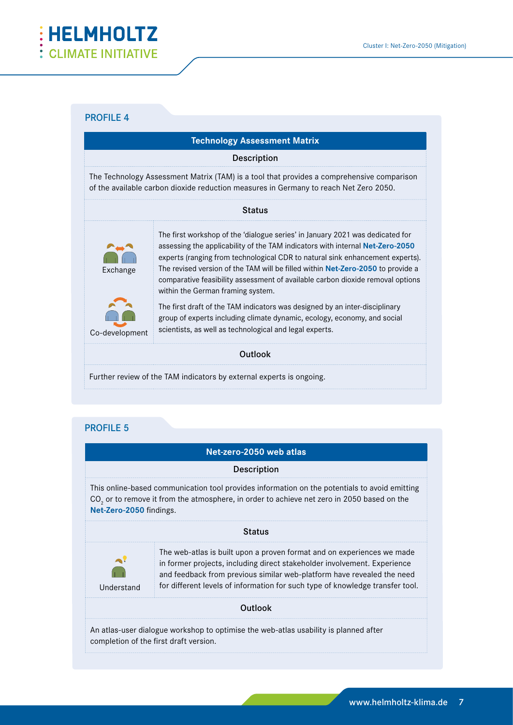

| <b>Technology Assessment Matrix</b> |                                                                                                                                                                                                                                                                                                                                                                                                                                                                  |
|-------------------------------------|------------------------------------------------------------------------------------------------------------------------------------------------------------------------------------------------------------------------------------------------------------------------------------------------------------------------------------------------------------------------------------------------------------------------------------------------------------------|
|                                     | <b>Description</b>                                                                                                                                                                                                                                                                                                                                                                                                                                               |
|                                     | The Technology Assessment Matrix (TAM) is a tool that provides a comprehensive comparison<br>of the available carbon dioxide reduction measures in Germany to reach Net Zero 2050.                                                                                                                                                                                                                                                                               |
|                                     | <b>Status</b>                                                                                                                                                                                                                                                                                                                                                                                                                                                    |
| Exchange                            | The first workshop of the 'dialogue series' in January 2021 was dedicated for<br>assessing the applicability of the TAM indicators with internal <b>Net-Zero-2050</b><br>experts (ranging from technological CDR to natural sink enhancement experts).<br>The revised version of the TAM will be filled within Net-Zero-2050 to provide a<br>comparative feasibility assessment of available carbon dioxide removal options<br>within the German framing system. |
| Co-development                      | The first draft of the TAM indicators was designed by an inter-disciplinary<br>group of experts including climate dynamic, ecology, economy, and social<br>scientists, as well as technological and legal experts.                                                                                                                                                                                                                                               |
|                                     | Outlook                                                                                                                                                                                                                                                                                                                                                                                                                                                          |
|                                     |                                                                                                                                                                                                                                                                                                                                                                                                                                                                  |

Further review of the TAM indicators by external experts is ongoing.

|                            | Net-zero-2050 web atlas                                                                                                                                                                                                                                                                                       |
|----------------------------|---------------------------------------------------------------------------------------------------------------------------------------------------------------------------------------------------------------------------------------------------------------------------------------------------------------|
|                            | Description                                                                                                                                                                                                                                                                                                   |
| Net-Zero-2050 findings.    | This online-based communication tool provides information on the potentials to avoid emitting<br>CO <sub>2</sub> or to remove it from the atmosphere, in order to achieve net zero in 2050 based on the                                                                                                       |
|                            | <b>Status</b>                                                                                                                                                                                                                                                                                                 |
| $\mathbf{A}$<br>Understand | The web-atlas is built upon a proven format and on experiences we made<br>in former projects, including direct stakeholder involvement. Experience<br>and feedback from previous similar web-platform have revealed the need<br>for different levels of information for such type of knowledge transfer tool. |
|                            | <b>Outlook</b>                                                                                                                                                                                                                                                                                                |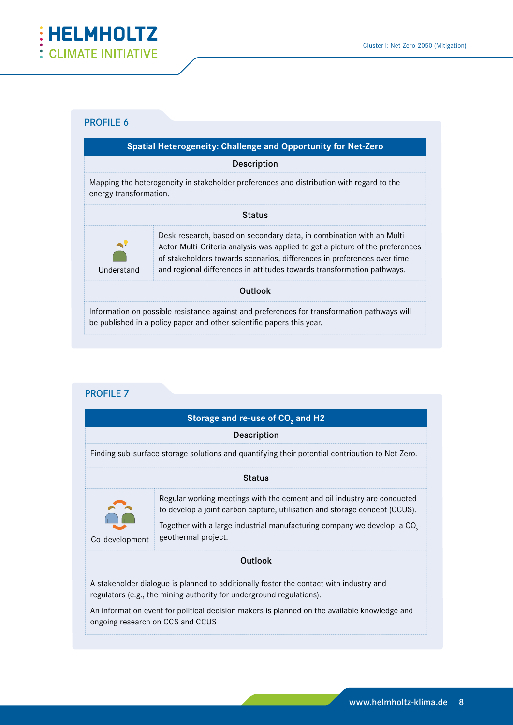

|                                    | Spatial Heterogeneity: Challenge and Opportunity for Net-Zero                                                                                                                                                                                                                                               |
|------------------------------------|-------------------------------------------------------------------------------------------------------------------------------------------------------------------------------------------------------------------------------------------------------------------------------------------------------------|
|                                    | <b>Description</b>                                                                                                                                                                                                                                                                                          |
| energy transformation.             | Mapping the heterogeneity in stakeholder preferences and distribution with regard to the                                                                                                                                                                                                                    |
|                                    | <b>Status</b>                                                                                                                                                                                                                                                                                               |
| $\ddot{\phantom{a}}$<br>Understand | Desk research, based on secondary data, in combination with an Multi-<br>Actor-Multi-Criteria analysis was applied to get a picture of the preferences<br>of stakeholders towards scenarios, differences in preferences over time<br>and regional differences in attitudes towards transformation pathways. |
|                                    | <b>Outlook</b>                                                                                                                                                                                                                                                                                              |
|                                    | Information on possible resistance against and preferences for transformation pathways will<br>be published in a policy paper and other scientific papers this year.                                                                                                                                        |

|                                  | Storage and re-use of CO <sub>2</sub> and H2                                                                                                                                                                                                                          |
|----------------------------------|-----------------------------------------------------------------------------------------------------------------------------------------------------------------------------------------------------------------------------------------------------------------------|
|                                  | Description                                                                                                                                                                                                                                                           |
|                                  | Finding sub-surface storage solutions and quantifying their potential contribution to Net-Zero.                                                                                                                                                                       |
|                                  | <b>Status</b>                                                                                                                                                                                                                                                         |
| Co-development                   | Regular working meetings with the cement and oil industry are conducted<br>to develop a joint carbon capture, utilisation and storage concept (CCUS).<br>Together with a large industrial manufacturing company we develop a CO <sub>2</sub> -<br>geothermal project. |
|                                  | <b>Outlook</b>                                                                                                                                                                                                                                                        |
| ongoing research on CCS and CCUS | A stakeholder dialogue is planned to additionally foster the contact with industry and<br>regulators (e.g., the mining authority for underground regulations).<br>An information event for political decision makers is planned on the available knowledge and        |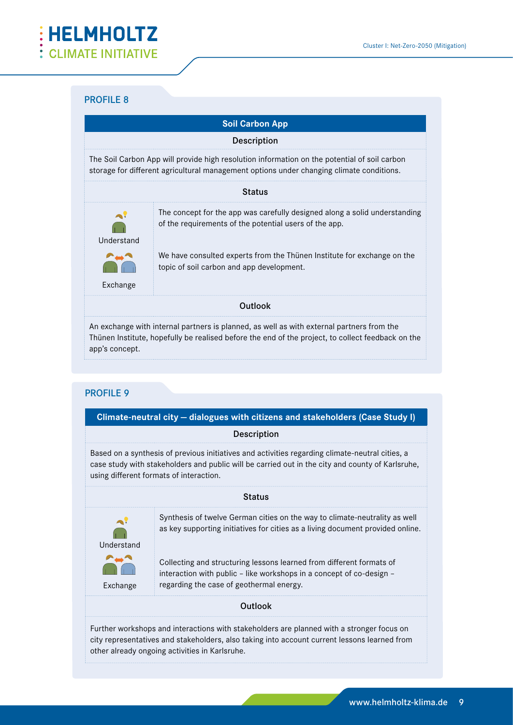

|                                  | <b>Soil Carbon App</b>                                                                                                                                                                         |
|----------------------------------|------------------------------------------------------------------------------------------------------------------------------------------------------------------------------------------------|
|                                  | <b>Description</b>                                                                                                                                                                             |
|                                  | The Soil Carbon App will provide high resolution information on the potential of soil carbon<br>storage for different agricultural management options under changing climate conditions.       |
|                                  | <b>Status</b>                                                                                                                                                                                  |
| $\blacktriangle$ .<br>Understand | The concept for the app was carefully designed along a solid understanding<br>of the requirements of the potential users of the app.                                                           |
| Exchange                         | We have consulted experts from the Thünen Institute for exchange on the<br>topic of soil carbon and app development.                                                                           |
|                                  | <b>Outlook</b>                                                                                                                                                                                 |
| app's concept.                   | An exchange with internal partners is planned, as well as with external partners from the<br>Thünen Institute, hopefully be realised before the end of the project, to collect feedback on the |

| Climate-neutral city - dialogues with citizens and stakeholders (Case Study I) |                                                                                                                                                                                                                                                |
|--------------------------------------------------------------------------------|------------------------------------------------------------------------------------------------------------------------------------------------------------------------------------------------------------------------------------------------|
|                                                                                | Description                                                                                                                                                                                                                                    |
|                                                                                | Based on a synthesis of previous initiatives and activities regarding climate-neutral cities, a<br>case study with stakeholders and public will be carried out in the city and county of Karlsruhe,<br>using different formats of interaction. |
|                                                                                | <b>Status</b>                                                                                                                                                                                                                                  |
| $\Delta$<br>Understand                                                         | Synthesis of twelve German cities on the way to climate-neutrality as well<br>as key supporting initiatives for cities as a living document provided online.                                                                                   |
| AAR<br>Exchange                                                                | Collecting and structuring lessons learned from different formats of<br>interaction with public - like workshops in a concept of co-design -<br>regarding the case of geothermal energy.                                                       |
|                                                                                | <b>Outlook</b>                                                                                                                                                                                                                                 |
|                                                                                | Further workshops and interactions with stakeholders are planned with a stronger focus on<br>city representatives and stakeholders, also taking into account current lessons learned from<br>other already ongoing activities in Karlsruhe.    |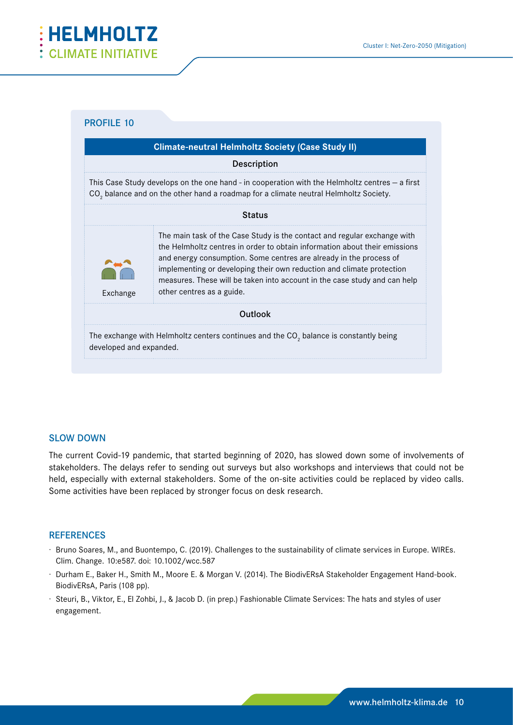

|                         | <b>Climate-neutral Helmholtz Society (Case Study II)</b>                                                                                                                                                                                                                                                                                                                                                        |
|-------------------------|-----------------------------------------------------------------------------------------------------------------------------------------------------------------------------------------------------------------------------------------------------------------------------------------------------------------------------------------------------------------------------------------------------------------|
|                         | <b>Description</b>                                                                                                                                                                                                                                                                                                                                                                                              |
|                         | This Case Study develops on the one hand - in cooperation with the Helmholtz centres $-$ a first<br>CO <sub>2</sub> balance and on the other hand a roadmap for a climate neutral Helmholtz Society.                                                                                                                                                                                                            |
|                         | <b>Status</b>                                                                                                                                                                                                                                                                                                                                                                                                   |
| Exchange                | The main task of the Case Study is the contact and regular exchange with<br>the Helmholtz centres in order to obtain information about their emissions<br>and energy consumption. Some centres are already in the process of<br>implementing or developing their own reduction and climate protection<br>measures. These will be taken into account in the case study and can help<br>other centres as a guide. |
|                         | Outlook                                                                                                                                                                                                                                                                                                                                                                                                         |
| developed and expanded. | The exchange with Helmholtz centers continues and the CO, balance is constantly being                                                                                                                                                                                                                                                                                                                           |

#### SLOW DOWN

The current Covid-19 pandemic, that started beginning of 2020, has slowed down some of involvements of stakeholders. The delays refer to sending out surveys but also workshops and interviews that could not be held, especially with external stakeholders. Some of the on-site activities could be replaced by video calls. Some activities have been replaced by stronger focus on desk research.

#### **REFERENCES**

- ℅ Bruno Soares, M., and Buontempo, C. (2019). Challenges to the sustainability of climate services in Europe. WIREs. Clim. Change. 10:e587. doi: 10.1002/wcc.587
- ℅ Durham E., Baker H., Smith M., Moore E. & Morgan V. (2014). The BiodivERsA Stakeholder Engagement Hand-book. BiodivERsA, Paris (108 pp).
- ℅ Steuri, B., Viktor, E., El Zohbi, J., & Jacob D. (in prep.) Fashionable Climate Services: The hats and styles of user engagement.